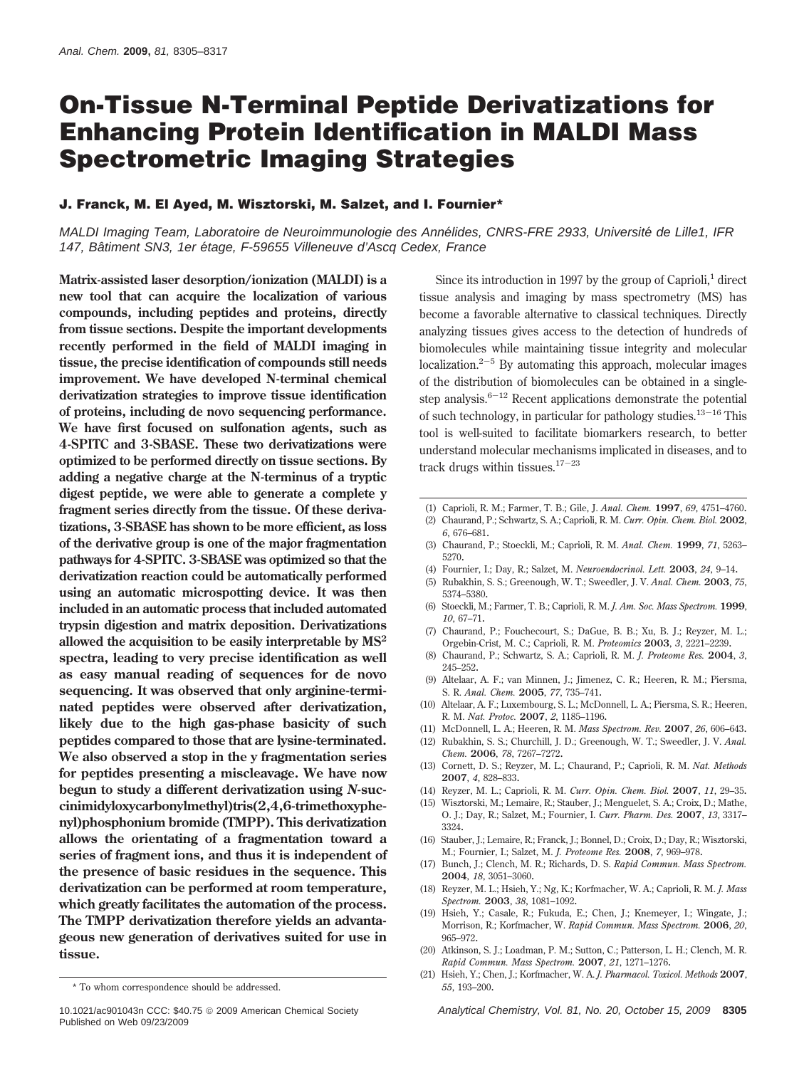# **On-Tissue N-Terminal Peptide Derivatizations for Enhancing Protein Identification in MALDI Mass Spectrometric Imaging Strategies**

## **J. Franck, M. El Ayed, M. Wisztorski, M. Salzet, and I. Fournier\***

*MALDI Imaging Team, Laboratoire de Neuroimmunologie des Annélides, CNRS-FRE 2933, Université de Lille1, IFR 147, Baˆtiment SN3, 1er e´tage, F-59655 Villeneuve d'Ascq Cedex, France*

**Matrix-assisted laser desorption/ionization (MALDI) is a new tool that can acquire the localization of various compounds, including peptides and proteins, directly from tissue sections. Despite the important developments recently performed in the field of MALDI imaging in tissue, the precise identification of compounds still needs improvement. We have developed N-terminal chemical derivatization strategies to improve tissue identification of proteins, including de novo sequencing performance. We have first focused on sulfonation agents, such as 4-SPITC and 3-SBASE. These two derivatizations were optimized to be performed directly on tissue sections. By adding a negative charge at the N-terminus of a tryptic digest peptide, we were able to generate a complete y fragment series directly from the tissue. Of these derivatizations, 3-SBASE has shown to be more efficient, as loss of the derivative group is one of the major fragmentation pathways for 4-SPITC. 3-SBASE was optimized so that the derivatization reaction could be automatically performed using an automatic microspotting device. It was then included in an automatic process that included automated trypsin digestion and matrix deposition. Derivatizations allowed the acquisition to be easily interpretable by MS2 spectra, leading to very precise identification as well as easy manual reading of sequences for de novo sequencing. It was observed that only arginine-terminated peptides were observed after derivatization, likely due to the high gas-phase basicity of such peptides compared to those that are lysine-terminated. We also observed a stop in the y fragmentation series for peptides presenting a miscleavage. We have now begun to study a different derivatization using N-succinimidyloxycarbonylmethyl)tris(2,4,6-trimethoxyphenyl)phosphonium bromide (TMPP). This derivatization allows the orientating of a fragmentation toward a series of fragment ions, and thus it is independent of the presence of basic residues in the sequence. This derivatization can be performed at room temperature, which greatly facilitates the automation of the process. The TMPP derivatization therefore yields an advantageous new generation of derivatives suited for use in tissue.**

Since its introduction in 1997 by the group of Caprioli, $<sup>1</sup>$  direct</sup> tissue analysis and imaging by mass spectrometry (MS) has become a favorable alternative to classical techniques. Directly analyzing tissues gives access to the detection of hundreds of biomolecules while maintaining tissue integrity and molecular localization. $2-5$  By automating this approach, molecular images of the distribution of biomolecules can be obtained in a singlestep analysis. $6-12$  Recent applications demonstrate the potential of such technology, in particular for pathology studies.<sup>13-16</sup> This tool is well-suited to facilitate biomarkers research, to better understand molecular mechanisms implicated in diseases, and to track drugs within tissues. $17-23$ 

- (1) Caprioli, R. M.; Farmer, T. B.; Gile, J. *Anal. Chem.* **1997**, *69*, 4751–4760.
- (2) Chaurand, P.; Schwartz, S. A.; Caprioli, R. M. *Curr. Opin. Chem. Biol.* **2002**, *6*, 676–681.
- (3) Chaurand, P.; Stoeckli, M.; Caprioli, R. M. *Anal. Chem.* **1999**, *71*, 5263– 5270.
- (4) Fournier, I.; Day, R.; Salzet, M. *Neuroendocrinol. Lett.* **2003**, *24*, 9–14.
- (5) Rubakhin, S. S.; Greenough, W. T.; Sweedler, J. V. *Anal. Chem.* **2003**, *75*, 5374–5380.
- (6) Stoeckli, M.; Farmer, T. B.; Caprioli, R. M. *J. Am. Soc. Mass Spectrom.* **1999**, *10*, 67–71.
- (7) Chaurand, P.; Fouchecourt, S.; DaGue, B. B.; Xu, B. J.; Reyzer, M. L.; Orgebin-Crist, M. C.; Caprioli, R. M. *Proteomics* **2003**, *3*, 2221–2239.
- (8) Chaurand, P.; Schwartz, S. A.; Caprioli, R. M. *J. Proteome Res.* **2004**, *3*, 245–252.
- (9) Altelaar, A. F.; van Minnen, J.; Jimenez, C. R.; Heeren, R. M.; Piersma, S. R. *Anal. Chem.* **2005**, *77*, 735–741.
- (10) Altelaar, A. F.; Luxembourg, S. L.; McDonnell, L. A.; Piersma, S. R.; Heeren, R. M. *Nat. Protoc.* **2007**, *2*, 1185–1196.
- (11) McDonnell, L. A.; Heeren, R. M. *Mass Spectrom. Rev.* **2007**, *26*, 606–643.
- (12) Rubakhin, S. S.; Churchill, J. D.; Greenough, W. T.; Sweedler, J. V. *Anal. Chem.* **2006**, *78*, 7267–7272.
- (13) Cornett, D. S.; Reyzer, M. L.; Chaurand, P.; Caprioli, R. M. *Nat. Methods* **2007**, *4*, 828–833.
- (14) Reyzer, M. L.; Caprioli, R. M. *Curr. Opin. Chem. Biol.* **2007**, *11*, 29–35.
- (15) Wisztorski, M.; Lemaire, R.; Stauber, J.; Menguelet, S. A.; Croix, D.; Mathe, O. J.; Day, R.; Salzet, M.; Fournier, I. *Curr. Pharm. Des.* **2007**, *13*, 3317– 3324.
- (16) Stauber, J.; Lemaire, R.; Franck, J.; Bonnel, D.; Croix, D.; Day, R.; Wisztorski, M.; Fournier, I.; Salzet, M. *J. Proteome Res.* **2008**, *7*, 969–978.
- (17) Bunch, J.; Clench, M. R.; Richards, D. S. *Rapid Commun. Mass Spectrom.* **2004**, *18*, 3051–3060.
- (18) Reyzer, M. L.; Hsieh, Y.; Ng, K.; Korfmacher, W. A.; Caprioli, R. M. *J. Mass Spectrom.* **2003**, *38*, 1081–1092.
- (19) Hsieh, Y.; Casale, R.; Fukuda, E.; Chen, J.; Knemeyer, I.; Wingate, J.; Morrison, R.; Korfmacher, W. *Rapid Commun. Mass Spectrom.* **2006**, *20*, 965–972.
- (20) Atkinson, S. J.; Loadman, P. M.; Sutton, C.; Patterson, L. H.; Clench, M. R. *Rapid Commun. Mass Spectrom.* **2007**, *21*, 1271–1276.
- (21) Hsieh, Y.; Chen, J.; Korfmacher, W. A. *J. Pharmacol. Toxicol. Methods* **2007**, *55*, 193–200.

<sup>\*</sup> To whom correspondence should be addressed.

Published on Web 09/23/2009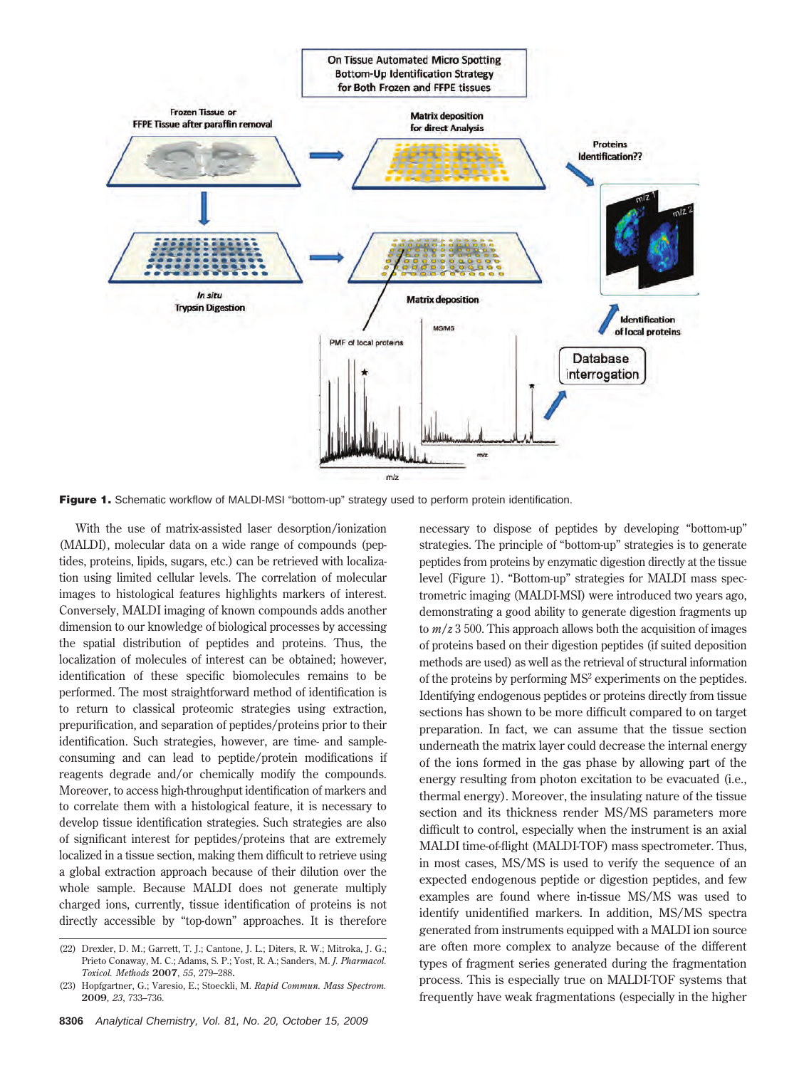

**Figure 1.** Schematic workflow of MALDI-MSI "bottom-up" strategy used to perform protein identification.

With the use of matrix-assisted laser desorption/ionization (MALDI), molecular data on a wide range of compounds (peptides, proteins, lipids, sugars, etc.) can be retrieved with localization using limited cellular levels. The correlation of molecular images to histological features highlights markers of interest. Conversely, MALDI imaging of known compounds adds another dimension to our knowledge of biological processes by accessing the spatial distribution of peptides and proteins. Thus, the localization of molecules of interest can be obtained; however, identification of these specific biomolecules remains to be performed. The most straightforward method of identification is to return to classical proteomic strategies using extraction, prepurification, and separation of peptides/proteins prior to their identification. Such strategies, however, are time- and sampleconsuming and can lead to peptide/protein modifications if reagents degrade and/or chemically modify the compounds. Moreover, to access high-throughput identification of markers and to correlate them with a histological feature, it is necessary to develop tissue identification strategies. Such strategies are also of significant interest for peptides/proteins that are extremely localized in a tissue section, making them difficult to retrieve using a global extraction approach because of their dilution over the whole sample. Because MALDI does not generate multiply charged ions, currently, tissue identification of proteins is not directly accessible by "top-down" approaches. It is therefore necessary to dispose of peptides by developing "bottom-up" strategies. The principle of "bottom-up" strategies is to generate peptides from proteins by enzymatic digestion directly at the tissue level (Figure 1). "Bottom-up" strategies for MALDI mass spectrometric imaging (MALDI-MSI) were introduced two years ago, demonstrating a good ability to generate digestion fragments up to *m*/*z* 3 500. This approach allows both the acquisition of images of proteins based on their digestion peptides (if suited deposition methods are used) as well as the retrieval of structural information of the proteins by performing MS<sup>2</sup> experiments on the peptides. Identifying endogenous peptides or proteins directly from tissue sections has shown to be more difficult compared to on target preparation. In fact, we can assume that the tissue section underneath the matrix layer could decrease the internal energy of the ions formed in the gas phase by allowing part of the energy resulting from photon excitation to be evacuated (i.e., thermal energy). Moreover, the insulating nature of the tissue section and its thickness render MS/MS parameters more difficult to control, especially when the instrument is an axial MALDI time-of-flight (MALDI-TOF) mass spectrometer. Thus, in most cases, MS/MS is used to verify the sequence of an expected endogenous peptide or digestion peptides, and few examples are found where in-tissue MS/MS was used to identify unidentified markers. In addition, MS/MS spectra generated from instruments equipped with a MALDI ion source are often more complex to analyze because of the different types of fragment series generated during the fragmentation process. This is especially true on MALDI-TOF systems that frequently have weak fragmentations (especially in the higher

<sup>(22)</sup> Drexler, D. M.; Garrett, T. J.; Cantone, J. L.; Diters, R. W.; Mitroka, J. G.; Prieto Conaway, M. C.; Adams, S. P.; Yost, R. A.; Sanders, M. *J. Pharmacol. Toxicol. Methods* **2007**, *55*, 279–288.

<sup>(23)</sup> Hopfgartner, G.; Varesio, E.; Stoeckli, M. *Rapid Commun. Mass Spectrom.* **2009**, *23*, 733–736.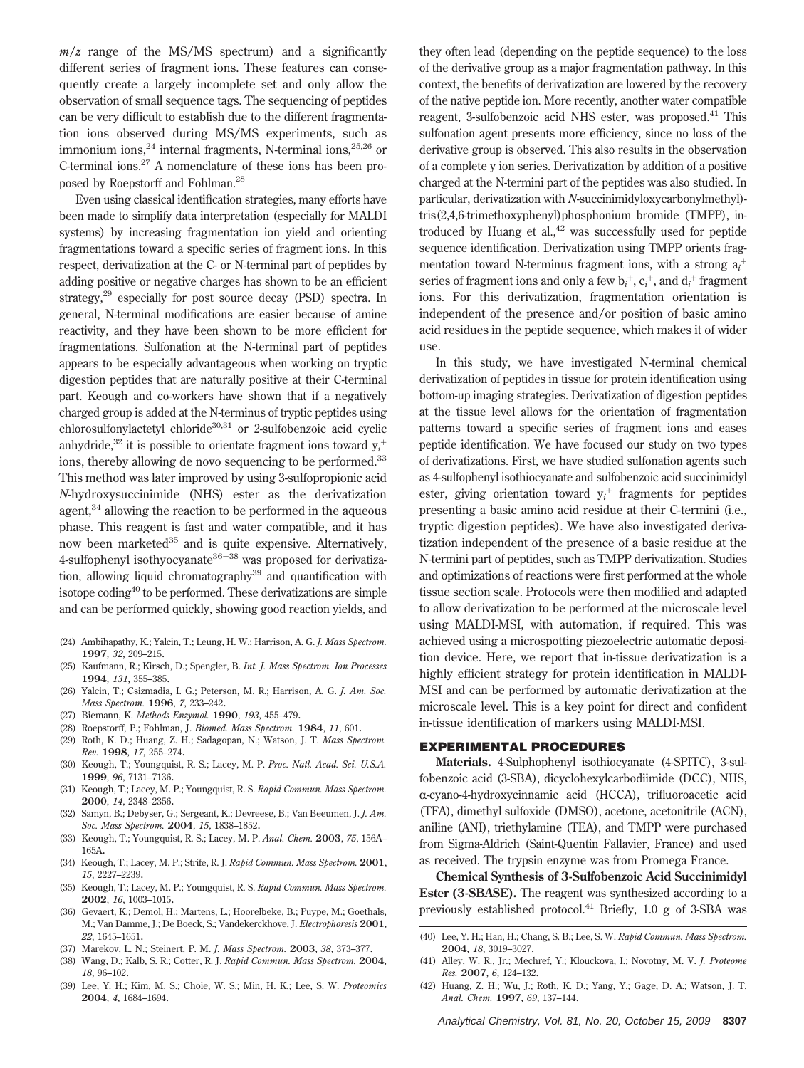$m/z$  range of the MS/MS spectrum) and a significantly different series of fragment ions. These features can consequently create a largely incomplete set and only allow the observation of small sequence tags. The sequencing of peptides can be very difficult to establish due to the different fragmentation ions observed during MS/MS experiments, such as immonium ions, $24$  internal fragments, N-terminal ions, $25,26$  or C-terminal ions.<sup>27</sup> A nomenclature of these ions has been proposed by Roepstorff and Fohlman.28

Even using classical identification strategies, many efforts have been made to simplify data interpretation (especially for MALDI systems) by increasing fragmentation ion yield and orienting fragmentations toward a specific series of fragment ions. In this respect, derivatization at the C- or N-terminal part of peptides by adding positive or negative charges has shown to be an efficient strategy, $29$  especially for post source decay (PSD) spectra. In general, N-terminal modifications are easier because of amine reactivity, and they have been shown to be more efficient for fragmentations. Sulfonation at the N-terminal part of peptides appears to be especially advantageous when working on tryptic digestion peptides that are naturally positive at their C-terminal part. Keough and co-workers have shown that if a negatively charged group is added at the N-terminus of tryptic peptides using chlorosulfonylactetyl chloride<sup>30,31</sup> or 2-sulfobenzoic acid cyclic anhydride,<sup>32</sup> it is possible to orientate fragment ions toward  $y_i^+$ ions, thereby allowing de novo sequencing to be performed.<sup>33</sup> This method was later improved by using 3-sulfopropionic acid *N*-hydroxysuccinimide (NHS) ester as the derivatization agent,<sup>34</sup> allowing the reaction to be performed in the aqueous phase. This reagent is fast and water compatible, and it has now been marketed<sup>35</sup> and is quite expensive. Alternatively, 4-sulfophenyl isothyocyanate<sup>36-38</sup> was proposed for derivatization, allowing liquid chromatography<sup>39</sup> and quantification with isotope coding<sup>40</sup> to be performed. These derivatizations are simple and can be performed quickly, showing good reaction yields, and

- (24) Ambihapathy, K.; Yalcin, T.; Leung, H. W.; Harrison, A. G. *J. Mass Spectrom.* **1997**, *32*, 209–215.
- (25) Kaufmann, R.; Kirsch, D.; Spengler, B. *Int. J. Mass Spectrom. Ion Processes* **1994**, *131*, 355–385.
- (26) Yalcin, T.; Csizmadia, I. G.; Peterson, M. R.; Harrison, A. G. *J. Am. Soc. Mass Spectrom.* **1996**, *7*, 233–242.
- (27) Biemann, K. *Methods Enzymol.* **1990**, *193*, 455–479.
- (28) Roepstorff, P.; Fohlman, J. *Biomed. Mass Spectrom.* **1984**, *11*, 601.
- (29) Roth, K. D.; Huang, Z. H.; Sadagopan, N.; Watson, J. T. *Mass Spectrom. Rev.* **1998**, *17*, 255–274.
- (30) Keough, T.; Youngquist, R. S.; Lacey, M. P. *Proc. Natl. Acad. Sci. U.S.A.* **1999**, *96*, 7131–7136.
- (31) Keough, T.; Lacey, M. P.; Youngquist, R. S. *Rapid Commun. Mass Spectrom.* **2000**, *14*, 2348–2356.
- (32) Samyn, B.; Debyser, G.; Sergeant, K.; Devreese, B.; Van Beeumen, J. *J. Am. Soc. Mass Spectrom.* **2004**, *15*, 1838–1852.
- (33) Keough, T.; Youngquist, R. S.; Lacey, M. P. *Anal. Chem.* **2003**, *75*, 156A– 165A.
- (34) Keough, T.; Lacey, M. P.; Strife, R. J. *Rapid Commun. Mass Spectrom.* **2001**, *15*, 2227–2239.
- (35) Keough, T.; Lacey, M. P.; Youngquist, R. S. *Rapid Commun. Mass Spectrom.* **2002**, *16*, 1003–1015.
- (36) Gevaert, K.; Demol, H.; Martens, L.; Hoorelbeke, B.; Puype, M.; Goethals, M.; Van Damme, J.; De Boeck, S.; Vandekerckhove, J. *Electrophoresis* **2001**, *22*, 1645–1651.
- (37) Marekov, L. N.; Steinert, P. M. *J. Mass Spectrom.* **2003**, *38*, 373–377.
- (38) Wang, D.; Kalb, S. R.; Cotter, R. J. *Rapid Commun. Mass Spectrom.* **2004**, *18*, 96–102.
- (39) Lee, Y. H.; Kim, M. S.; Choie, W. S.; Min, H. K.; Lee, S. W. *Proteomics* **2004**, *4*, 1684–1694.

they often lead (depending on the peptide sequence) to the loss of the derivative group as a major fragmentation pathway. In this context, the benefits of derivatization are lowered by the recovery of the native peptide ion. More recently, another water compatible reagent, 3-sulfobenzoic acid NHS ester, was proposed.<sup>41</sup> This sulfonation agent presents more efficiency, since no loss of the derivative group is observed. This also results in the observation of a complete y ion series. Derivatization by addition of a positive charged at the N-termini part of the peptides was also studied. In particular, derivatization with *N*-succinimidyloxycarbonylmethyl) tris(2,4,6-trimethoxyphenyl)phosphonium bromide (TMPP), introduced by Huang et al., $42$  was successfully used for peptide sequence identification. Derivatization using TMPP orients fragmentation toward N-terminus fragment ions, with a strong a*<sup>i</sup>* + series of fragment ions and only a few  $b_i^+, c_i^+,$  and  $d_i^+$  fragment ions. For this derivatization, fragmentation orientation is independent of the presence and/or position of basic amino acid residues in the peptide sequence, which makes it of wider use.

In this study, we have investigated N-terminal chemical derivatization of peptides in tissue for protein identification using bottom-up imaging strategies. Derivatization of digestion peptides at the tissue level allows for the orientation of fragmentation patterns toward a specific series of fragment ions and eases peptide identification. We have focused our study on two types of derivatizations. First, we have studied sulfonation agents such as 4-sulfophenyl isothiocyanate and sulfobenzoic acid succinimidyl ester, giving orientation toward  $y_i^+$  fragments for peptides presenting a basic amino acid residue at their C-termini (i.e., tryptic digestion peptides). We have also investigated derivatization independent of the presence of a basic residue at the N-termini part of peptides, such as TMPP derivatization. Studies and optimizations of reactions were first performed at the whole tissue section scale. Protocols were then modified and adapted to allow derivatization to be performed at the microscale level using MALDI-MSI, with automation, if required. This was achieved using a microspotting piezoelectric automatic deposition device. Here, we report that in-tissue derivatization is a highly efficient strategy for protein identification in MALDI-MSI and can be performed by automatic derivatization at the microscale level. This is a key point for direct and confident in-tissue identification of markers using MALDI-MSI.

#### **EXPERIMENTAL PROCEDURES**

**Materials.** 4-Sulphophenyl isothiocyanate (4-SPITC), 3-sulfobenzoic acid (3-SBA), dicyclohexylcarbodiimide (DCC), NHS, R-cyano-4-hydroxycinnamic acid (HCCA), trifluoroacetic acid (TFA), dimethyl sulfoxide (DMSO), acetone, acetonitrile (ACN), aniline (ANI), triethylamine (TEA), and TMPP were purchased from Sigma-Aldrich (Saint-Quentin Fallavier, France) and used as received. The trypsin enzyme was from Promega France.

**Chemical Synthesis of 3-Sulfobenzoic Acid Succinimidyl Ester (3-SBASE).** The reagent was synthesized according to a previously established protocol.<sup>41</sup> Briefly, 1.0 g of 3-SBA was

<sup>(40)</sup> Lee, Y. H.; Han, H.; Chang, S. B.; Lee, S. W. *Rapid Commun. Mass Spectrom.* **2004**, *18*, 3019–3027.

<sup>(41)</sup> Alley, W. R., Jr.; Mechref, Y.; Klouckova, I.; Novotny, M. V. *J. Proteome Res.* **2007**, *6*, 124–132.

<sup>(42)</sup> Huang, Z. H.; Wu, J.; Roth, K. D.; Yang, Y.; Gage, D. A.; Watson, J. T. *Anal. Chem.* **1997**, *69*, 137–144.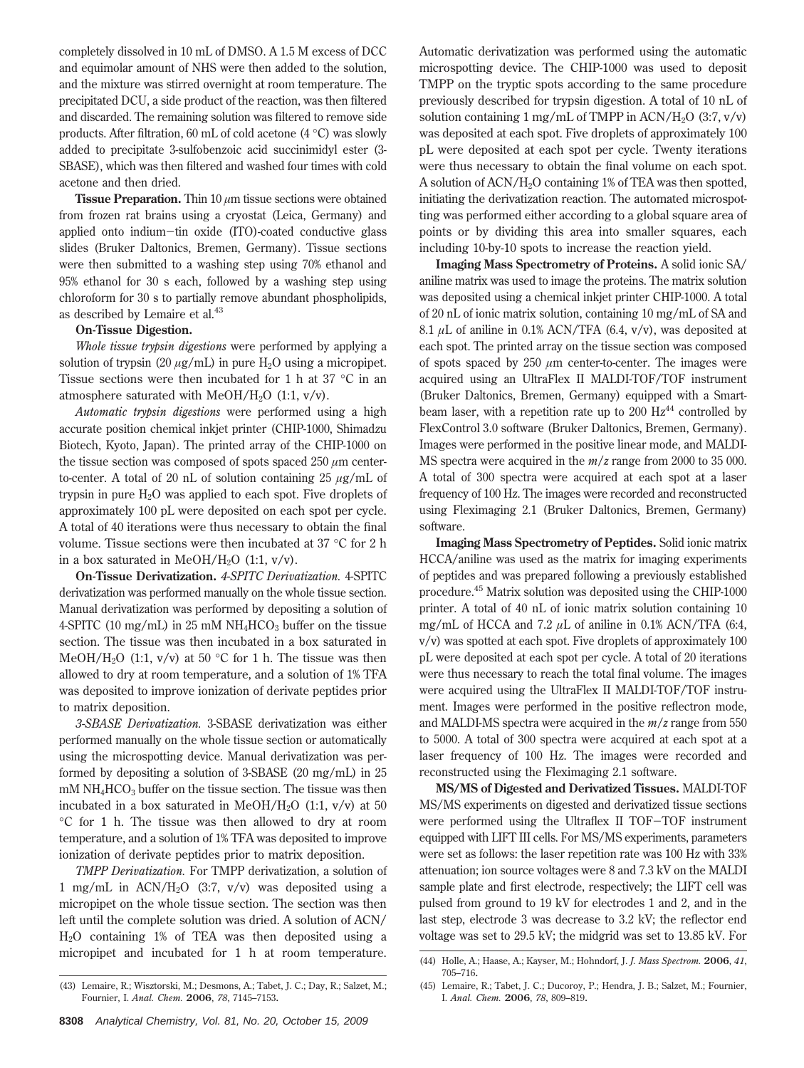completely dissolved in 10 mL of DMSO. A 1.5 M excess of DCC and equimolar amount of NHS were then added to the solution, and the mixture was stirred overnight at room temperature. The precipitated DCU, a side product of the reaction, was then filtered and discarded. The remaining solution was filtered to remove side products. After filtration, 60 mL of cold acetone (4 °C) was slowly added to precipitate 3-sulfobenzoic acid succinimidyl ester (3- SBASE), which was then filtered and washed four times with cold acetone and then dried.

**Tissue Preparation.** Thin 10 *µ*m tissue sections were obtained from frozen rat brains using a cryostat (Leica, Germany) and applied onto indium-tin oxide (ITO)-coated conductive glass slides (Bruker Daltonics, Bremen, Germany). Tissue sections were then submitted to a washing step using 70% ethanol and 95% ethanol for 30 s each, followed by a washing step using chloroform for 30 s to partially remove abundant phospholipids, as described by Lemaire et al.<sup>43</sup>

## **On-Tissue Digestion.**

*Whole tissue trypsin digestions* were performed by applying a solution of trypsin (20  $\mu$ g/mL) in pure H<sub>2</sub>O using a micropipet. Tissue sections were then incubated for 1 h at 37  $\degree$ C in an atmosphere saturated with MeOH/H<sub>2</sub>O (1:1,  $v/v$ ).

*Automatic trypsin digestions* were performed using a high accurate position chemical inkjet printer (CHIP-1000, Shimadzu Biotech, Kyoto, Japan). The printed array of the CHIP-1000 on the tissue section was composed of spots spaced 250 *µ*m centerto-center. A total of 20 nL of solution containing 25 *µ*g/mL of trypsin in pure  $H_2O$  was applied to each spot. Five droplets of approximately 100 pL were deposited on each spot per cycle. A total of 40 iterations were thus necessary to obtain the final volume. Tissue sections were then incubated at 37 °C for 2 h in a box saturated in  $MeOH/H<sub>2</sub>O$  (1:1, v/v).

**On-Tissue Derivatization.** *4-SPITC Derivatization.* 4-SPITC derivatization was performed manually on the whole tissue section. Manual derivatization was performed by depositing a solution of 4-SPITC (10 mg/mL) in 25 mM  $NH<sub>4</sub>HCO<sub>3</sub>$  buffer on the tissue section. The tissue was then incubated in a box saturated in MeOH/H<sub>2</sub>O (1:1, v/v) at 50 °C for 1 h. The tissue was then allowed to dry at room temperature, and a solution of 1% TFA was deposited to improve ionization of derivate peptides prior to matrix deposition.

*3-SBASE Derivatization.* 3-SBASE derivatization was either performed manually on the whole tissue section or automatically using the microspotting device. Manual derivatization was performed by depositing a solution of 3-SBASE (20 mg/mL) in 25  $mM NH<sub>4</sub>HCO<sub>3</sub>$  buffer on the tissue section. The tissue was then incubated in a box saturated in MeOH/H<sub>2</sub>O (1:1,  $v/v$ ) at 50 °C for 1 h. The tissue was then allowed to dry at room temperature, and a solution of 1% TFA was deposited to improve ionization of derivate peptides prior to matrix deposition.

*TMPP Derivatization.* For TMPP derivatization, a solution of 1 mg/mL in ACN/H<sub>2</sub>O (3:7,  $v/v$ ) was deposited using a micropipet on the whole tissue section. The section was then left until the complete solution was dried. A solution of ACN/ H2O containing 1% of TEA was then deposited using a micropipet and incubated for 1 h at room temperature.

(43) Lemaire, R.; Wisztorski, M.; Desmons, A.; Tabet, J. C.; Day, R.; Salzet, M.; Fournier, I. *Anal. Chem.* **2006**, *78*, 7145–7153.

Automatic derivatization was performed using the automatic microspotting device. The CHIP-1000 was used to deposit TMPP on the tryptic spots according to the same procedure previously described for trypsin digestion. A total of 10 nL of solution containing 1 mg/mL of TMPP in ACN/H<sub>2</sub>O (3:7,  $v/v$ ) was deposited at each spot. Five droplets of approximately 100 pL were deposited at each spot per cycle. Twenty iterations were thus necessary to obtain the final volume on each spot. A solution of ACN/H2O containing 1% of TEA was then spotted, initiating the derivatization reaction. The automated microspotting was performed either according to a global square area of points or by dividing this area into smaller squares, each including 10-by-10 spots to increase the reaction yield.

**Imaging Mass Spectrometry of Proteins.** A solid ionic SA/ aniline matrix was used to image the proteins. The matrix solution was deposited using a chemical inkjet printer CHIP-1000. A total of 20 nL of ionic matrix solution, containing 10 mg/mL of SA and 8.1  $\mu$ L of aniline in 0.1% ACN/TFA (6.4, v/v), was deposited at each spot. The printed array on the tissue section was composed of spots spaced by  $250 \mu m$  center-to-center. The images were acquired using an UltraFlex II MALDI-TOF/TOF instrument (Bruker Daltonics, Bremen, Germany) equipped with a Smartbeam laser, with a repetition rate up to 200  $Hz<sup>44</sup>$  controlled by FlexControl 3.0 software (Bruker Daltonics, Bremen, Germany). Images were performed in the positive linear mode, and MALDI-MS spectra were acquired in the *m*/*z* range from 2000 to 35 000. A total of 300 spectra were acquired at each spot at a laser frequency of 100 Hz. The images were recorded and reconstructed using Fleximaging 2.1 (Bruker Daltonics, Bremen, Germany) software.

**Imaging Mass Spectrometry of Peptides.** Solid ionic matrix HCCA/aniline was used as the matrix for imaging experiments of peptides and was prepared following a previously established procedure.45 Matrix solution was deposited using the CHIP-1000 printer. A total of 40 nL of ionic matrix solution containing 10 mg/mL of HCCA and 7.2  $\mu$ L of aniline in 0.1% ACN/TFA (6:4, v/v) was spotted at each spot. Five droplets of approximately 100 pL were deposited at each spot per cycle. A total of 20 iterations were thus necessary to reach the total final volume. The images were acquired using the UltraFlex II MALDI-TOF/TOF instrument. Images were performed in the positive reflectron mode, and MALDI-MS spectra were acquired in the *m*/*z* range from 550 to 5000. A total of 300 spectra were acquired at each spot at a laser frequency of 100 Hz. The images were recorded and reconstructed using the Fleximaging 2.1 software.

**MS/MS of Digested and Derivatized Tissues.** MALDI-TOF MS/MS experiments on digested and derivatized tissue sections were performed using the Ultraflex II TOF-TOF instrument equipped with LIFT III cells. For MS/MS experiments, parameters were set as follows: the laser repetition rate was 100 Hz with 33% attenuation; ion source voltages were 8 and 7.3 kV on the MALDI sample plate and first electrode, respectively; the LIFT cell was pulsed from ground to 19 kV for electrodes 1 and 2, and in the last step, electrode 3 was decrease to 3.2 kV; the reflector end voltage was set to 29.5 kV; the midgrid was set to 13.85 kV. For

<sup>(44)</sup> Holle, A.; Haase, A.; Kayser, M.; Hohndorf, J. *J. Mass Spectrom.* **2006**, *41*, 705–716.

<sup>(45)</sup> Lemaire, R.; Tabet, J. C.; Ducoroy, P.; Hendra, J. B.; Salzet, M.; Fournier, I. *Anal. Chem.* **2006**, *78*, 809–819.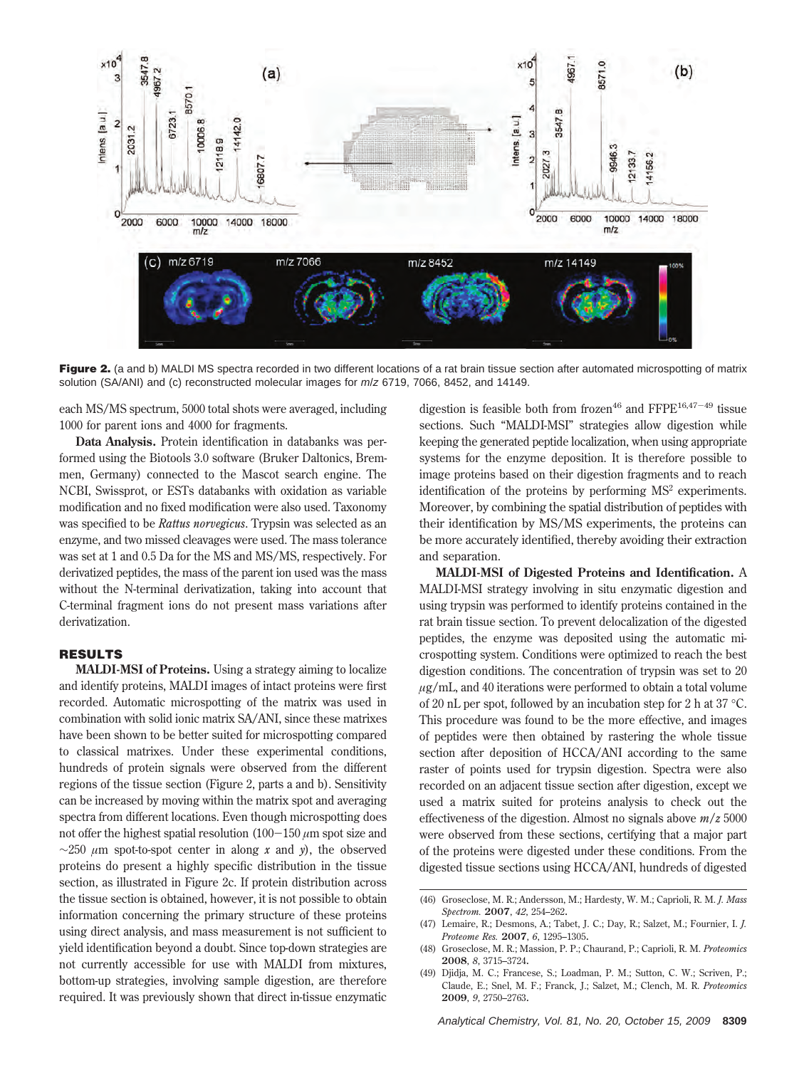

Figure 2. (a and b) MALDI MS spectra recorded in two different locations of a rat brain tissue section after automated microspotting of matrix solution (SA/ANI) and (c) reconstructed molecular images for *m*/*z* 6719, 7066, 8452, and 14149.

each MS/MS spectrum, 5000 total shots were averaged, including 1000 for parent ions and 4000 for fragments.

**Data Analysis.** Protein identification in databanks was performed using the Biotools 3.0 software (Bruker Daltonics, Bremmen, Germany) connected to the Mascot search engine. The NCBI, Swissprot, or ESTs databanks with oxidation as variable modification and no fixed modification were also used. Taxonomy was specified to be *Rattus norvegicus*. Trypsin was selected as an enzyme, and two missed cleavages were used. The mass tolerance was set at 1 and 0.5 Da for the MS and MS/MS, respectively. For derivatized peptides, the mass of the parent ion used was the mass without the N-terminal derivatization, taking into account that C-terminal fragment ions do not present mass variations after derivatization.

#### **RESULTS**

**MALDI-MSI of Proteins.** Using a strategy aiming to localize and identify proteins, MALDI images of intact proteins were first recorded. Automatic microspotting of the matrix was used in combination with solid ionic matrix SA/ANI, since these matrixes have been shown to be better suited for microspotting compared to classical matrixes. Under these experimental conditions, hundreds of protein signals were observed from the different regions of the tissue section (Figure 2, parts a and b). Sensitivity can be increased by moving within the matrix spot and averaging spectra from different locations. Even though microspotting does not offer the highest spatial resolution  $(100-150 \mu m)$  spot size and ∼250 *µ*m spot-to-spot center in along *x* and *y*), the observed proteins do present a highly specific distribution in the tissue section, as illustrated in Figure 2c. If protein distribution across the tissue section is obtained, however, it is not possible to obtain information concerning the primary structure of these proteins using direct analysis, and mass measurement is not sufficient to yield identification beyond a doubt. Since top-down strategies are not currently accessible for use with MALDI from mixtures, bottom-up strategies, involving sample digestion, are therefore required. It was previously shown that direct in-tissue enzymatic

digestion is feasible both from frozen<sup>46</sup> and  $\text{FFPE}^{16,47-49}$  tissue sections. Such "MALDI-MSI" strategies allow digestion while keeping the generated peptide localization, when using appropriate systems for the enzyme deposition. It is therefore possible to image proteins based on their digestion fragments and to reach identification of the proteins by performing MS<sup>2</sup> experiments. Moreover, by combining the spatial distribution of peptides with their identification by MS/MS experiments, the proteins can be more accurately identified, thereby avoiding their extraction and separation.

**MALDI-MSI of Digested Proteins and Identification.** A MALDI-MSI strategy involving in situ enzymatic digestion and using trypsin was performed to identify proteins contained in the rat brain tissue section. To prevent delocalization of the digested peptides, the enzyme was deposited using the automatic microspotting system. Conditions were optimized to reach the best digestion conditions. The concentration of trypsin was set to 20  $\mu$ g/mL, and 40 iterations were performed to obtain a total volume of 20 nL per spot, followed by an incubation step for 2 h at 37 °C. This procedure was found to be the more effective, and images of peptides were then obtained by rastering the whole tissue section after deposition of HCCA/ANI according to the same raster of points used for trypsin digestion. Spectra were also recorded on an adjacent tissue section after digestion, except we used a matrix suited for proteins analysis to check out the effectiveness of the digestion. Almost no signals above *m*/*z* 5000 were observed from these sections, certifying that a major part of the proteins were digested under these conditions. From the digested tissue sections using HCCA/ANI, hundreds of digested

<sup>(46)</sup> Groseclose, M. R.; Andersson, M.; Hardesty, W. M.; Caprioli, R. M. *J. Mass Spectrom.* **2007**, *42*, 254–262.

<sup>(47)</sup> Lemaire, R.; Desmons, A.; Tabet, J. C.; Day, R.; Salzet, M.; Fournier, I. *J. Proteome Res.* **2007**, *6*, 1295–1305.

<sup>(48)</sup> Groseclose, M. R.; Massion, P. P.; Chaurand, P.; Caprioli, R. M. *Proteomics* **2008**, *8*, 3715–3724.

<sup>(49)</sup> Djidja, M. C.; Francese, S.; Loadman, P. M.; Sutton, C. W.; Scriven, P.; Claude, E.; Snel, M. F.; Franck, J.; Salzet, M.; Clench, M. R. *Proteomics* **2009**, *9*, 2750–2763.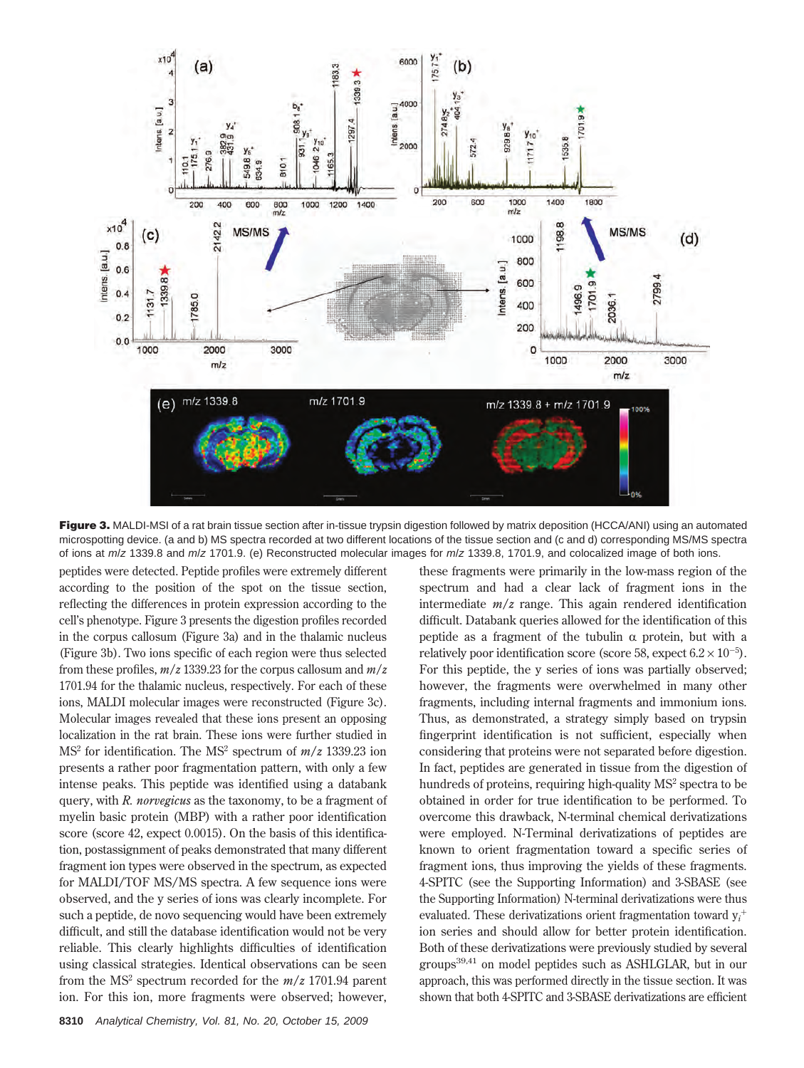

Figure 3. MALDI-MSI of a rat brain tissue section after in-tissue trypsin digestion followed by matrix deposition (HCCA/ANI) using an automated microspotting device. (a and b) MS spectra recorded at two different locations of the tissue section and (c and d) corresponding MS/MS spectra of ions at *m*/*z* 1339.8 and *m*/*z* 1701.9. (e) Reconstructed molecular images for *m*/*z* 1339.8, 1701.9, and colocalized image of both ions.

peptides were detected. Peptide profiles were extremely different according to the position of the spot on the tissue section, reflecting the differences in protein expression according to the cell's phenotype. Figure 3 presents the digestion profiles recorded in the corpus callosum (Figure 3a) and in the thalamic nucleus (Figure 3b). Two ions specific of each region were thus selected from these profiles, *m*/*z* 1339.23 for the corpus callosum and *m*/*z* 1701.94 for the thalamic nucleus, respectively. For each of these ions, MALDI molecular images were reconstructed (Figure 3c). Molecular images revealed that these ions present an opposing localization in the rat brain. These ions were further studied in  $MS<sup>2</sup>$  for identification. The  $MS<sup>2</sup>$  spectrum of  $m/z$  1339.23 ion presents a rather poor fragmentation pattern, with only a few intense peaks. This peptide was identified using a databank query, with *R. norvegicus* as the taxonomy, to be a fragment of myelin basic protein (MBP) with a rather poor identification score (score 42, expect 0.0015). On the basis of this identification, postassignment of peaks demonstrated that many different fragment ion types were observed in the spectrum, as expected for MALDI/TOF MS/MS spectra. A few sequence ions were observed, and the y series of ions was clearly incomplete. For such a peptide, de novo sequencing would have been extremely difficult, and still the database identification would not be very reliable. This clearly highlights difficulties of identification using classical strategies. Identical observations can be seen from the MS<sup>2</sup> spectrum recorded for the  $m/z$  1701.94 parent ion. For this ion, more fragments were observed; however, these fragments were primarily in the low-mass region of the spectrum and had a clear lack of fragment ions in the intermediate *m*/*z* range. This again rendered identification difficult. Databank queries allowed for the identification of this peptide as a fragment of the tubulin  $\alpha$  protein, but with a relatively poor identification score (score 58, expect  $6.2 \times 10^{-5}$ ). For this peptide, the y series of ions was partially observed; however, the fragments were overwhelmed in many other fragments, including internal fragments and immonium ions. Thus, as demonstrated, a strategy simply based on trypsin fingerprint identification is not sufficient, especially when considering that proteins were not separated before digestion. In fact, peptides are generated in tissue from the digestion of hundreds of proteins, requiring high-quality MS<sup>2</sup> spectra to be obtained in order for true identification to be performed. To overcome this drawback, N-terminal chemical derivatizations were employed. N-Terminal derivatizations of peptides are known to orient fragmentation toward a specific series of fragment ions, thus improving the yields of these fragments. 4-SPITC (see the Supporting Information) and 3-SBASE (see the Supporting Information) N-terminal derivatizations were thus evaluated. These derivatizations orient fragmentation toward y*<sup>i</sup>* + ion series and should allow for better protein identification. Both of these derivatizations were previously studied by several groups39,41 on model peptides such as ASHLGLAR, but in our approach, this was performed directly in the tissue section. It was shown that both 4-SPITC and 3-SBASE derivatizations are efficient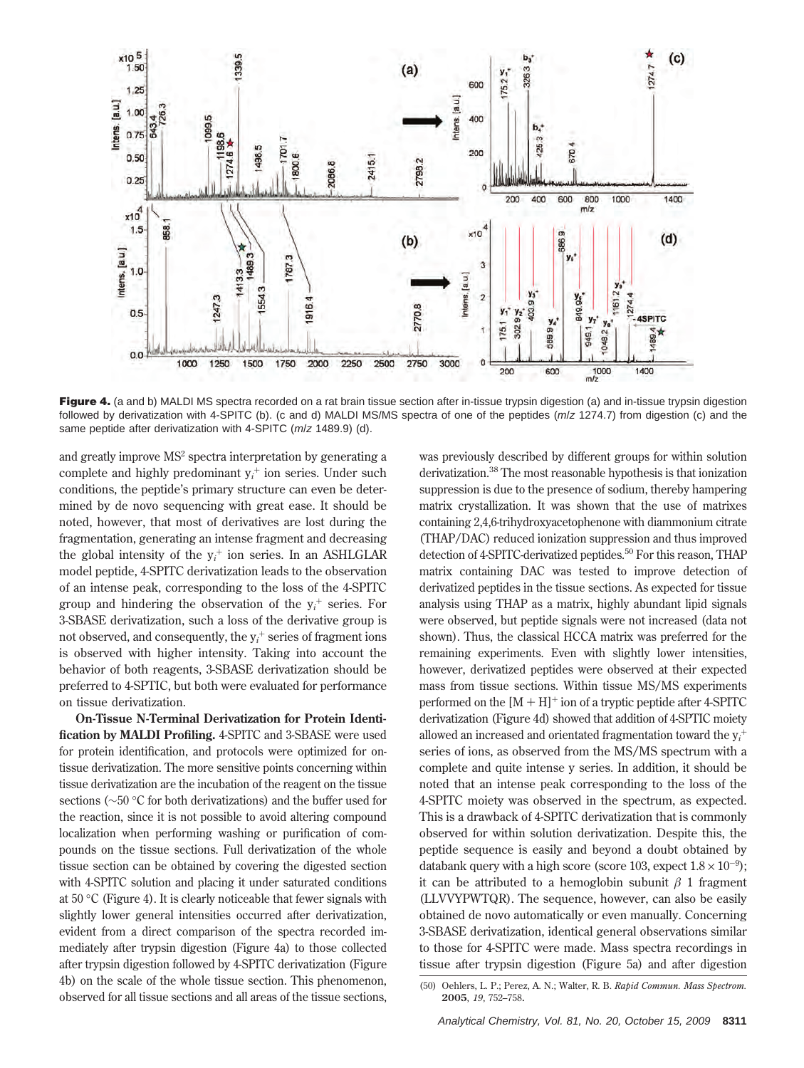

**Figure 4.** (a and b) MALDI MS spectra recorded on a rat brain tissue section after in-tissue trypsin digestion (a) and in-tissue trypsin digestion followed by derivatization with 4-SPITC (b). (c and d) MALDI MS/MS spectra of one of the peptides (*m*/*z* 1274.7) from digestion (c) and the same peptide after derivatization with 4-SPITC (*m*/*z* 1489.9) (d).

and greatly improve  $MS<sup>2</sup>$  spectra interpretation by generating a complete and highly predominant  $y_i^+$  ion series. Under such conditions, the peptide's primary structure can even be determined by de novo sequencing with great ease. It should be noted, however, that most of derivatives are lost during the fragmentation, generating an intense fragment and decreasing the global intensity of the y*<sup>i</sup>* <sup>+</sup> ion series. In an ASHLGLAR model peptide, 4-SPITC derivatization leads to the observation of an intense peak, corresponding to the loss of the 4-SPITC group and hindering the observation of the y*<sup>i</sup>* <sup>+</sup> series. For 3-SBASE derivatization, such a loss of the derivative group is not observed, and consequently, the y*<sup>i</sup>* <sup>+</sup> series of fragment ions is observed with higher intensity. Taking into account the behavior of both reagents, 3-SBASE derivatization should be preferred to 4-SPTIC, but both were evaluated for performance on tissue derivatization.

**On-Tissue N-Terminal Derivatization for Protein Identification by MALDI Profiling.** 4-SPITC and 3-SBASE were used for protein identification, and protocols were optimized for ontissue derivatization. The more sensitive points concerning within tissue derivatization are the incubation of the reagent on the tissue sections (∼50 °C for both derivatizations) and the buffer used for the reaction, since it is not possible to avoid altering compound localization when performing washing or purification of compounds on the tissue sections. Full derivatization of the whole tissue section can be obtained by covering the digested section with 4-SPITC solution and placing it under saturated conditions at 50 °C (Figure 4). It is clearly noticeable that fewer signals with slightly lower general intensities occurred after derivatization, evident from a direct comparison of the spectra recorded immediately after trypsin digestion (Figure 4a) to those collected after trypsin digestion followed by 4-SPITC derivatization (Figure 4b) on the scale of the whole tissue section. This phenomenon, observed for all tissue sections and all areas of the tissue sections, was previously described by different groups for within solution derivatization.38 The most reasonable hypothesis is that ionization suppression is due to the presence of sodium, thereby hampering matrix crystallization. It was shown that the use of matrixes containing 2,4,6-trihydroxyacetophenone with diammonium citrate (THAP/DAC) reduced ionization suppression and thus improved detection of 4-SPITC-derivatized peptides.<sup>50</sup> For this reason, THAP matrix containing DAC was tested to improve detection of derivatized peptides in the tissue sections. As expected for tissue analysis using THAP as a matrix, highly abundant lipid signals were observed, but peptide signals were not increased (data not shown). Thus, the classical HCCA matrix was preferred for the remaining experiments. Even with slightly lower intensities, however, derivatized peptides were observed at their expected mass from tissue sections. Within tissue MS/MS experiments performed on the  $[M + H]$ <sup>+</sup> ion of a tryptic peptide after 4-SPITC derivatization (Figure 4d) showed that addition of 4-SPTIC moiety allowed an increased and orientated fragmentation toward the y*<sup>i</sup>* + series of ions, as observed from the MS/MS spectrum with a complete and quite intense y series. In addition, it should be noted that an intense peak corresponding to the loss of the 4-SPITC moiety was observed in the spectrum, as expected. This is a drawback of 4-SPITC derivatization that is commonly observed for within solution derivatization. Despite this, the peptide sequence is easily and beyond a doubt obtained by databank query with a high score (score 103, expect  $1.8 \times 10^{-9}$ ); it can be attributed to a hemoglobin subunit  $\beta$  1 fragment (LLVVYPWTQR). The sequence, however, can also be easily obtained de novo automatically or even manually. Concerning 3-SBASE derivatization, identical general observations similar to those for 4-SPITC were made. Mass spectra recordings in tissue after trypsin digestion (Figure 5a) and after digestion

<sup>(50)</sup> Oehlers, L. P.; Perez, A. N.; Walter, R. B. *Rapid Commun. Mass Spectrom.* **2005**, *19*, 752–758.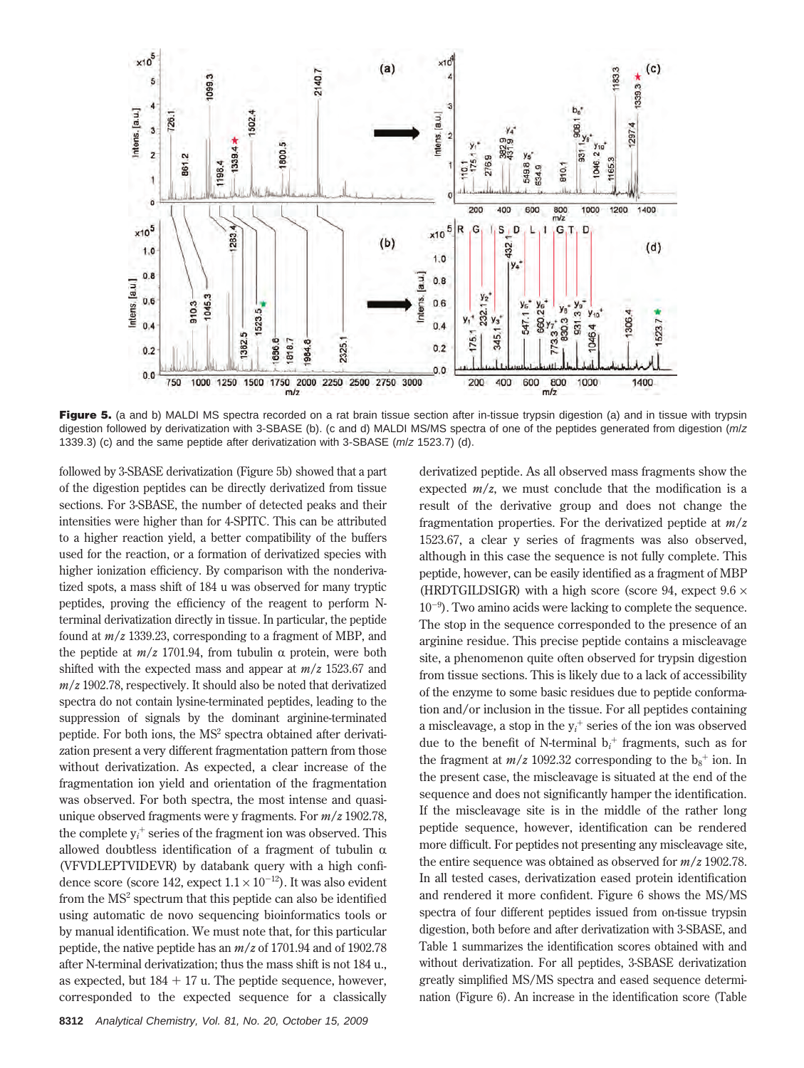

Figure 5. (a and b) MALDI MS spectra recorded on a rat brain tissue section after in-tissue trypsin digestion (a) and in tissue with trypsin digestion followed by derivatization with 3-SBASE (b). (c and d) MALDI MS/MS spectra of one of the peptides generated from digestion (*m*/*z* 1339.3) (c) and the same peptide after derivatization with 3-SBASE (*m*/*z* 1523.7) (d).

followed by 3-SBASE derivatization (Figure 5b) showed that a part of the digestion peptides can be directly derivatized from tissue sections. For 3-SBASE, the number of detected peaks and their intensities were higher than for 4-SPITC. This can be attributed to a higher reaction yield, a better compatibility of the buffers used for the reaction, or a formation of derivatized species with higher ionization efficiency. By comparison with the nonderivatized spots, a mass shift of 184 u was observed for many tryptic peptides, proving the efficiency of the reagent to perform Nterminal derivatization directly in tissue. In particular, the peptide found at *m*/*z* 1339.23, corresponding to a fragment of MBP, and the peptide at  $m/z$  1701.94, from tubulin  $\alpha$  protein, were both shifted with the expected mass and appear at *m*/*z* 1523.67 and *m*/*z* 1902.78, respectively. It should also be noted that derivatized spectra do not contain lysine-terminated peptides, leading to the suppression of signals by the dominant arginine-terminated peptide. For both ions, the MS<sup>2</sup> spectra obtained after derivatization present a very different fragmentation pattern from those without derivatization. As expected, a clear increase of the fragmentation ion yield and orientation of the fragmentation was observed. For both spectra, the most intense and quasiunique observed fragments were y fragments. For *m*/*z* 1902.78, the complete y*<sup>i</sup>* <sup>+</sup> series of the fragment ion was observed. This allowed doubtless identification of a fragment of tubulin  $\alpha$ (VFVDLEPTVIDEVR) by databank query with a high confidence score (score 142, expect  $1.1 \times 10^{-12}$ ). It was also evident from the MS2 spectrum that this peptide can also be identified using automatic de novo sequencing bioinformatics tools or by manual identification. We must note that, for this particular peptide, the native peptide has an *m*/*z* of 1701.94 and of 1902.78 after N-terminal derivatization; thus the mass shift is not 184 u., as expected, but  $184 + 17$  u. The peptide sequence, however, corresponded to the expected sequence for a classically

derivatized peptide. As all observed mass fragments show the expected *m*/*z*, we must conclude that the modification is a result of the derivative group and does not change the fragmentation properties. For the derivatized peptide at *m*/*z* 1523.67, a clear y series of fragments was also observed, although in this case the sequence is not fully complete. This peptide, however, can be easily identified as a fragment of MBP (HRDTGILDSIGR) with a high score (score 94, expect  $9.6 \times$ 10-<sup>9</sup> ). Two amino acids were lacking to complete the sequence. The stop in the sequence corresponded to the presence of an arginine residue. This precise peptide contains a miscleavage site, a phenomenon quite often observed for trypsin digestion from tissue sections. This is likely due to a lack of accessibility of the enzyme to some basic residues due to peptide conformation and/or inclusion in the tissue. For all peptides containing a miscleavage, a stop in the y*<sup>i</sup>* <sup>+</sup> series of the ion was observed due to the benefit of N-terminal  $b_i^+$  fragments, such as for the fragment at  $m/z$  1092.32 corresponding to the  $b_8$ <sup>+</sup> ion. In the present case, the miscleavage is situated at the end of the sequence and does not significantly hamper the identification. If the miscleavage site is in the middle of the rather long peptide sequence, however, identification can be rendered more difficult. For peptides not presenting any miscleavage site, the entire sequence was obtained as observed for *m*/*z* 1902.78. In all tested cases, derivatization eased protein identification and rendered it more confident. Figure 6 shows the MS/MS spectra of four different peptides issued from on-tissue trypsin digestion, both before and after derivatization with 3-SBASE, and Table 1 summarizes the identification scores obtained with and without derivatization. For all peptides, 3-SBASE derivatization greatly simplified MS/MS spectra and eased sequence determination (Figure 6). An increase in the identification score (Table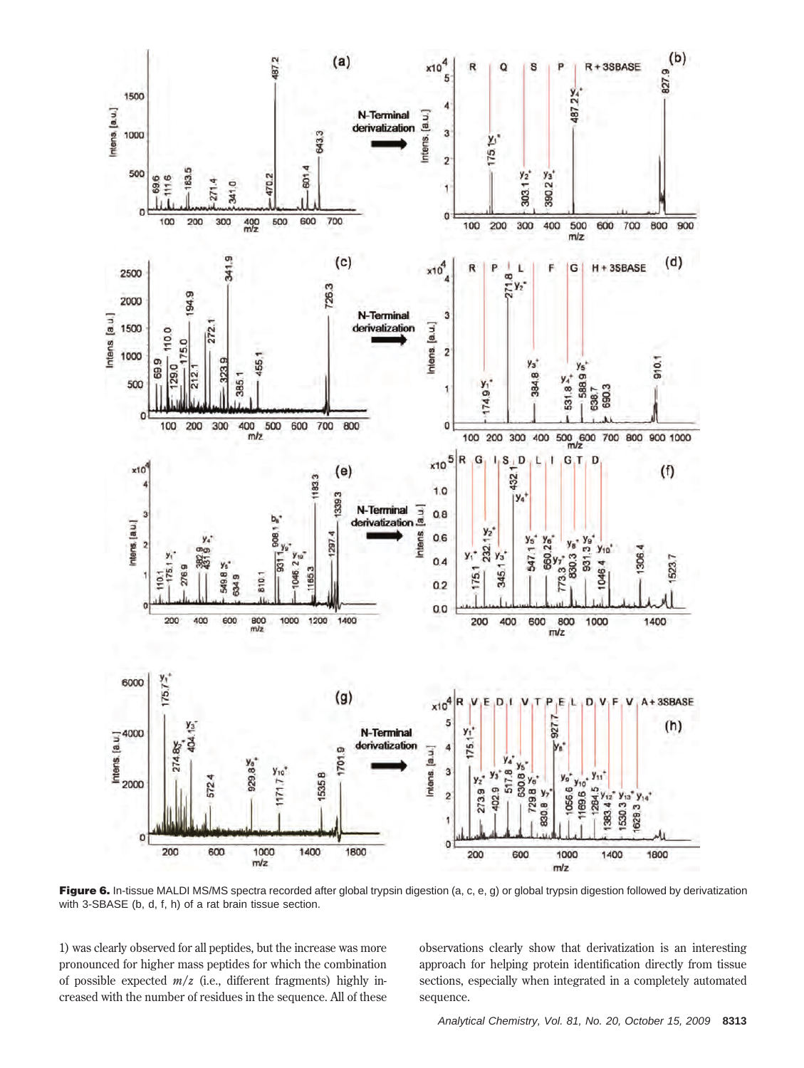

Figure 6. In-tissue MALDI MS/MS spectra recorded after global trypsin digestion (a, c, e, g) or global trypsin digestion followed by derivatization with 3-SBASE (b, d, f, h) of a rat brain tissue section.

1) was clearly observed for all peptides, but the increase was more pronounced for higher mass peptides for which the combination of possible expected *m*/*z* (i.e., different fragments) highly increased with the number of residues in the sequence. All of these observations clearly show that derivatization is an interesting approach for helping protein identification directly from tissue sections, especially when integrated in a completely automated sequence.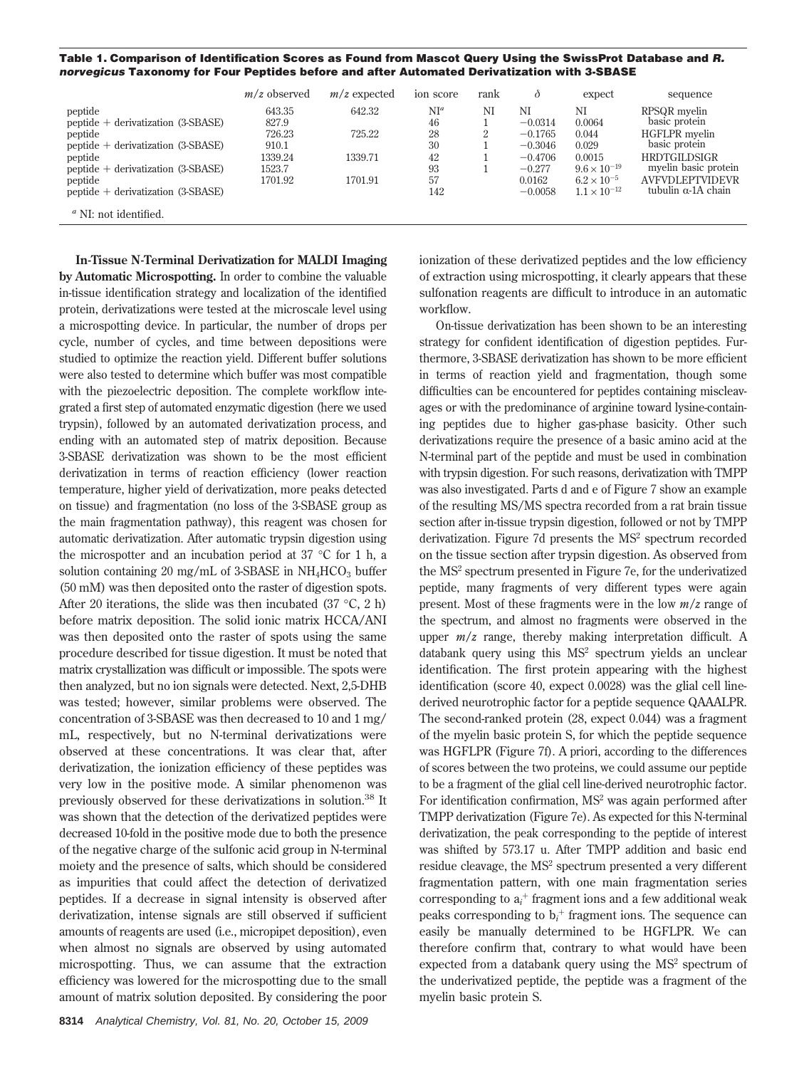| Table 1. Comparison of Identification Scores as Found from Mascot Query Using the SwissProt Database and R. |
|-------------------------------------------------------------------------------------------------------------|
| norvegicus Taxonomy for Four Peptides before and after Automated Derivatization with 3-SBASE                |

|                                  | $m/z$ observed | $m/z$ expected | ion score | rank | $\delta$  | expect                | sequence                   |
|----------------------------------|----------------|----------------|-----------|------|-----------|-----------------------|----------------------------|
| peptide                          | 643.35         | 642.32         | $NI^a$    | NI   | NI        | NI                    | RPSQR myelin               |
| $peptide + derivation (3-SBASE)$ | 827.9          |                | 46        |      | $-0.0314$ | 0.0064                | basic protein              |
| peptide                          | 726.23         | 725.22         | 28        | 2    | $-0.1765$ | 0.044                 | <b>HGFLPR</b> myelin       |
| $peptide + derivation (3-SBASE)$ | 910.1          |                | 30        |      | $-0.3046$ | 0.029                 | basic protein              |
| peptide                          | 1339.24        | 1339.71        | 42        |      | $-0.4706$ | 0.0015                | <b>HRDTGILDSIGR</b>        |
| $peptide + derivation (3-SBASE)$ | 1523.7         |                | 93        |      | $-0.277$  | $9.6 \times 10^{-19}$ | myelin basic protein       |
| peptide                          | 1701.92        | 1701.91        | 57        |      | 0.0162    | $6.2 \times 10^{-5}$  | <b>AVFVDLEPTVIDEVR</b>     |
| $peptide + derivation (3-SBASE)$ |                |                | 142       |      | $-0.0058$ | $1.1 \times 10^{-12}$ | tubulin $\alpha$ -1A chain |
| $\alpha$ NI: not identified.     |                |                |           |      |           |                       |                            |

**In-Tissue N-Terminal Derivatization for MALDI Imaging by Automatic Microspotting.** In order to combine the valuable in-tissue identification strategy and localization of the identified protein, derivatizations were tested at the microscale level using a microspotting device. In particular, the number of drops per cycle, number of cycles, and time between depositions were studied to optimize the reaction yield. Different buffer solutions were also tested to determine which buffer was most compatible with the piezoelectric deposition. The complete workflow integrated a first step of automated enzymatic digestion (here we used trypsin), followed by an automated derivatization process, and ending with an automated step of matrix deposition. Because 3-SBASE derivatization was shown to be the most efficient derivatization in terms of reaction efficiency (lower reaction temperature, higher yield of derivatization, more peaks detected on tissue) and fragmentation (no loss of the 3-SBASE group as the main fragmentation pathway), this reagent was chosen for automatic derivatization. After automatic trypsin digestion using the microspotter and an incubation period at 37  $\degree$ C for 1 h, a solution containing 20 mg/mL of 3-SBASE in  $NH<sub>4</sub>HCO<sub>3</sub>$  buffer (50 mM) was then deposited onto the raster of digestion spots. After 20 iterations, the slide was then incubated  $(37 \degree C, 2 h)$ before matrix deposition. The solid ionic matrix HCCA/ANI was then deposited onto the raster of spots using the same procedure described for tissue digestion. It must be noted that matrix crystallization was difficult or impossible. The spots were then analyzed, but no ion signals were detected. Next, 2,5-DHB was tested; however, similar problems were observed. The concentration of 3-SBASE was then decreased to 10 and 1 mg/ mL, respectively, but no N-terminal derivatizations were observed at these concentrations. It was clear that, after derivatization, the ionization efficiency of these peptides was very low in the positive mode. A similar phenomenon was previously observed for these derivatizations in solution.<sup>38</sup> It was shown that the detection of the derivatized peptides were decreased 10-fold in the positive mode due to both the presence of the negative charge of the sulfonic acid group in N-terminal moiety and the presence of salts, which should be considered as impurities that could affect the detection of derivatized peptides. If a decrease in signal intensity is observed after derivatization, intense signals are still observed if sufficient amounts of reagents are used (i.e., micropipet deposition), even when almost no signals are observed by using automated microspotting. Thus, we can assume that the extraction efficiency was lowered for the microspotting due to the small amount of matrix solution deposited. By considering the poor ionization of these derivatized peptides and the low efficiency of extraction using microspotting, it clearly appears that these sulfonation reagents are difficult to introduce in an automatic workflow.

On-tissue derivatization has been shown to be an interesting strategy for confident identification of digestion peptides. Furthermore, 3-SBASE derivatization has shown to be more efficient in terms of reaction yield and fragmentation, though some difficulties can be encountered for peptides containing miscleavages or with the predominance of arginine toward lysine-containing peptides due to higher gas-phase basicity. Other such derivatizations require the presence of a basic amino acid at the N-terminal part of the peptide and must be used in combination with trypsin digestion. For such reasons, derivatization with TMPP was also investigated. Parts d and e of Figure 7 show an example of the resulting MS/MS spectra recorded from a rat brain tissue section after in-tissue trypsin digestion, followed or not by TMPP derivatization. Figure 7d presents the MS<sup>2</sup> spectrum recorded on the tissue section after trypsin digestion. As observed from the MS2 spectrum presented in Figure 7e, for the underivatized peptide, many fragments of very different types were again present. Most of these fragments were in the low *m*/*z* range of the spectrum, and almost no fragments were observed in the upper *m*/*z* range, thereby making interpretation difficult. A databank query using this  $MS<sup>2</sup>$  spectrum yields an unclear identification. The first protein appearing with the highest identification (score 40, expect 0.0028) was the glial cell linederived neurotrophic factor for a peptide sequence QAAALPR. The second-ranked protein (28, expect 0.044) was a fragment of the myelin basic protein S, for which the peptide sequence was HGFLPR (Figure 7f). A priori, according to the differences of scores between the two proteins, we could assume our peptide to be a fragment of the glial cell line-derived neurotrophic factor. For identification confirmation, MS<sup>2</sup> was again performed after TMPP derivatization (Figure 7e). As expected for this N-terminal derivatization, the peak corresponding to the peptide of interest was shifted by 573.17 u. After TMPP addition and basic end residue cleavage, the MS<sup>2</sup> spectrum presented a very different fragmentation pattern, with one main fragmentation series corresponding to a*<sup>i</sup>* <sup>+</sup> fragment ions and a few additional weak peaks corresponding to b*<sup>i</sup>* <sup>+</sup> fragment ions. The sequence can easily be manually determined to be HGFLPR. We can therefore confirm that, contrary to what would have been expected from a databank query using the MS<sup>2</sup> spectrum of the underivatized peptide, the peptide was a fragment of the myelin basic protein S.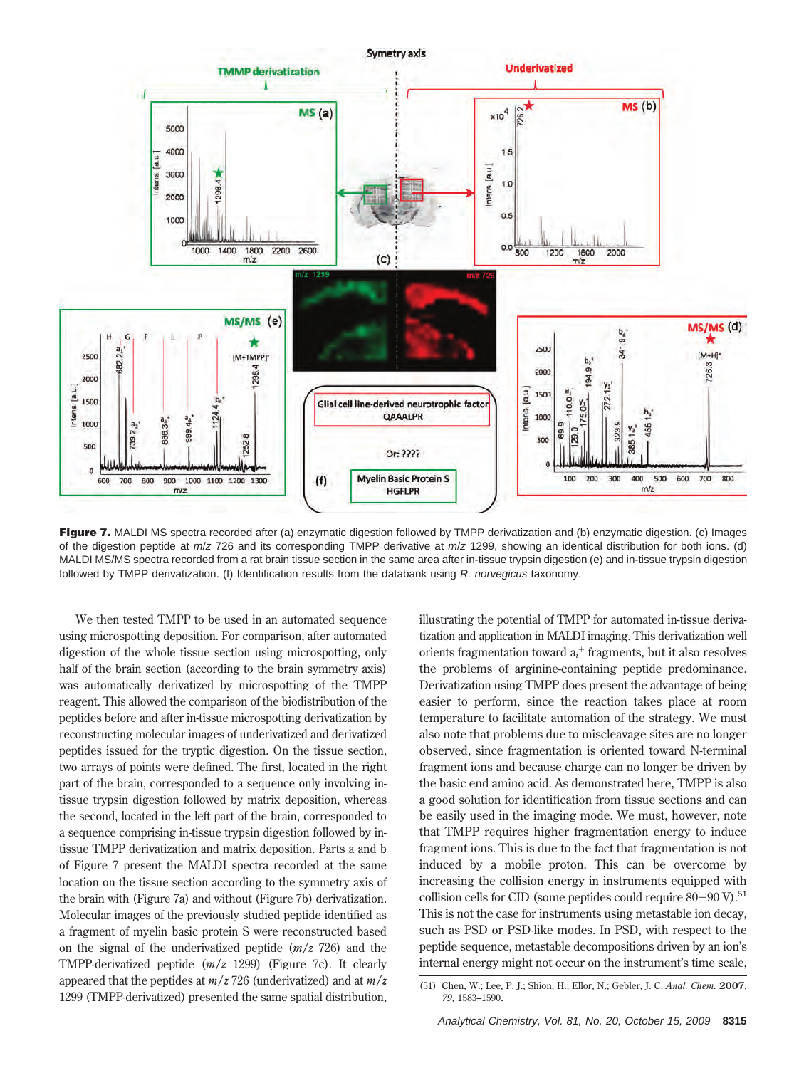

Figure 7. MALDI MS spectra recorded after (a) enzymatic digestion followed by TMPP derivatization and (b) enzymatic digestion. (c) Images of the digestion peptide at *m*/*z* 726 and its corresponding TMPP derivative at *m*/*z* 1299, showing an identical distribution for both ions. (d) MALDI MS/MS spectra recorded from a rat brain tissue section in the same area after in-tissue trypsin digestion (e) and in-tissue trypsin digestion followed by TMPP derivatization. (f) Identification results from the databank using *R. norvegicus* taxonomy.

We then tested TMPP to be used in an automated sequence using microspotting deposition. For comparison, after automated digestion of the whole tissue section using microspotting, only half of the brain section (according to the brain symmetry axis) was automatically derivatized by microspotting of the TMPP reagent. This allowed the comparison of the biodistribution of the peptides before and after in-tissue microspotting derivatization by reconstructing molecular images of underivatized and derivatized peptides issued for the tryptic digestion. On the tissue section, two arrays of points were defined. The first, located in the right part of the brain, corresponded to a sequence only involving intissue trypsin digestion followed by matrix deposition, whereas the second, located in the left part of the brain, corresponded to a sequence comprising in-tissue trypsin digestion followed by intissue TMPP derivatization and matrix deposition. Parts a and b of Figure 7 present the MALDI spectra recorded at the same location on the tissue section according to the symmetry axis of the brain with (Figure 7a) and without (Figure 7b) derivatization. Molecular images of the previously studied peptide identified as a fragment of myelin basic protein S were reconstructed based on the signal of the underivatized peptide (*m*/*z* 726) and the TMPP-derivatized peptide (*m*/*z* 1299) (Figure 7c). It clearly appeared that the peptides at *m*/*z* 726 (underivatized) and at *m*/*z* 1299 (TMPP-derivatized) presented the same spatial distribution, illustrating the potential of TMPP for automated in-tissue derivatization and application in MALDI imaging. This derivatization well orients fragmentation toward a*<sup>i</sup>* <sup>+</sup> fragments, but it also resolves the problems of arginine-containing peptide predominance. Derivatization using TMPP does present the advantage of being easier to perform, since the reaction takes place at room temperature to facilitate automation of the strategy. We must also note that problems due to miscleavage sites are no longer observed, since fragmentation is oriented toward N-terminal fragment ions and because charge can no longer be driven by the basic end amino acid. As demonstrated here, TMPP is also a good solution for identification from tissue sections and can be easily used in the imaging mode. We must, however, note that TMPP requires higher fragmentation energy to induce fragment ions. This is due to the fact that fragmentation is not induced by a mobile proton. This can be overcome by increasing the collision energy in instruments equipped with collision cells for CID (some peptides could require  $80-90$  V).<sup>51</sup> This is not the case for instruments using metastable ion decay, such as PSD or PSD-like modes. In PSD, with respect to the peptide sequence, metastable decompositions driven by an ion's internal energy might not occur on the instrument's time scale,

<sup>(51)</sup> Chen, W.; Lee, P. J.; Shion, H.; Ellor, N.; Gebler, J. C. *Anal. Chem.* **2007**, *79*, 1583–1590.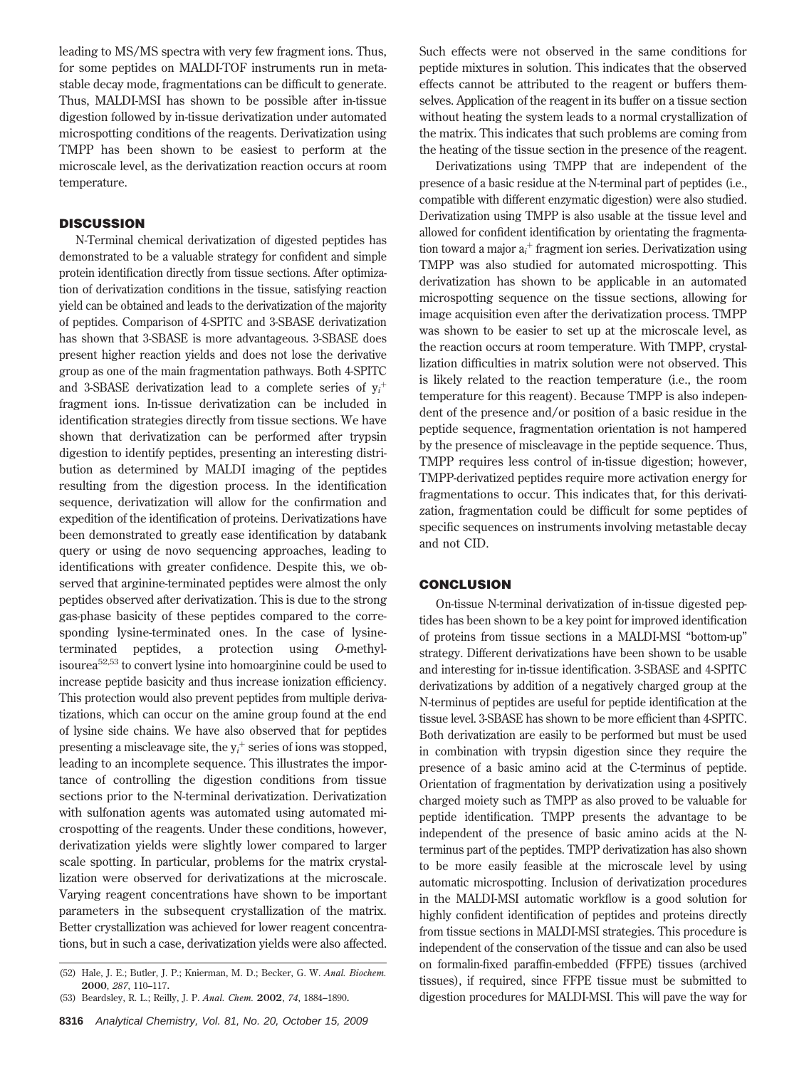leading to MS/MS spectra with very few fragment ions. Thus, for some peptides on MALDI-TOF instruments run in metastable decay mode, fragmentations can be difficult to generate. Thus, MALDI-MSI has shown to be possible after in-tissue digestion followed by in-tissue derivatization under automated microspotting conditions of the reagents. Derivatization using TMPP has been shown to be easiest to perform at the microscale level, as the derivatization reaction occurs at room temperature.

#### **DISCUSSION**

N-Terminal chemical derivatization of digested peptides has demonstrated to be a valuable strategy for confident and simple protein identification directly from tissue sections. After optimization of derivatization conditions in the tissue, satisfying reaction yield can be obtained and leads to the derivatization of the majority of peptides. Comparison of 4-SPITC and 3-SBASE derivatization has shown that 3-SBASE is more advantageous. 3-SBASE does present higher reaction yields and does not lose the derivative group as one of the main fragmentation pathways. Both 4-SPITC and 3-SBASE derivatization lead to a complete series of y*<sup>i</sup>* + fragment ions. In-tissue derivatization can be included in identification strategies directly from tissue sections. We have shown that derivatization can be performed after trypsin digestion to identify peptides, presenting an interesting distribution as determined by MALDI imaging of the peptides resulting from the digestion process. In the identification sequence, derivatization will allow for the confirmation and expedition of the identification of proteins. Derivatizations have been demonstrated to greatly ease identification by databank query or using de novo sequencing approaches, leading to identifications with greater confidence. Despite this, we observed that arginine-terminated peptides were almost the only peptides observed after derivatization. This is due to the strong gas-phase basicity of these peptides compared to the corresponding lysine-terminated ones. In the case of lysineterminated peptides, a protection using *O*-methylisourea52,53 to convert lysine into homoarginine could be used to increase peptide basicity and thus increase ionization efficiency. This protection would also prevent peptides from multiple derivatizations, which can occur on the amine group found at the end of lysine side chains. We have also observed that for peptides presenting a miscleavage site, the y*<sup>i</sup>* <sup>+</sup> series of ions was stopped, leading to an incomplete sequence. This illustrates the importance of controlling the digestion conditions from tissue sections prior to the N-terminal derivatization. Derivatization with sulfonation agents was automated using automated microspotting of the reagents. Under these conditions, however, derivatization yields were slightly lower compared to larger scale spotting. In particular, problems for the matrix crystallization were observed for derivatizations at the microscale. Varying reagent concentrations have shown to be important parameters in the subsequent crystallization of the matrix. Better crystallization was achieved for lower reagent concentrations, but in such a case, derivatization yields were also affected. Such effects were not observed in the same conditions for peptide mixtures in solution. This indicates that the observed effects cannot be attributed to the reagent or buffers themselves. Application of the reagent in its buffer on a tissue section without heating the system leads to a normal crystallization of the matrix. This indicates that such problems are coming from the heating of the tissue section in the presence of the reagent.

Derivatizations using TMPP that are independent of the presence of a basic residue at the N-terminal part of peptides (i.e., compatible with different enzymatic digestion) were also studied. Derivatization using TMPP is also usable at the tissue level and allowed for confident identification by orientating the fragmentation toward a major a*<sup>i</sup>* <sup>+</sup> fragment ion series. Derivatization using TMPP was also studied for automated microspotting. This derivatization has shown to be applicable in an automated microspotting sequence on the tissue sections, allowing for image acquisition even after the derivatization process. TMPP was shown to be easier to set up at the microscale level, as the reaction occurs at room temperature. With TMPP, crystallization difficulties in matrix solution were not observed. This is likely related to the reaction temperature (i.e., the room temperature for this reagent). Because TMPP is also independent of the presence and/or position of a basic residue in the peptide sequence, fragmentation orientation is not hampered by the presence of miscleavage in the peptide sequence. Thus, TMPP requires less control of in-tissue digestion; however, TMPP-derivatized peptides require more activation energy for fragmentations to occur. This indicates that, for this derivatization, fragmentation could be difficult for some peptides of specific sequences on instruments involving metastable decay and not CID.

## **CONCLUSION**

On-tissue N-terminal derivatization of in-tissue digested peptides has been shown to be a key point for improved identification of proteins from tissue sections in a MALDI-MSI "bottom-up" strategy. Different derivatizations have been shown to be usable and interesting for in-tissue identification. 3-SBASE and 4-SPITC derivatizations by addition of a negatively charged group at the N-terminus of peptides are useful for peptide identification at the tissue level. 3-SBASE has shown to be more efficient than 4-SPITC. Both derivatization are easily to be performed but must be used in combination with trypsin digestion since they require the presence of a basic amino acid at the C-terminus of peptide. Orientation of fragmentation by derivatization using a positively charged moiety such as TMPP as also proved to be valuable for peptide identification. TMPP presents the advantage to be independent of the presence of basic amino acids at the Nterminus part of the peptides. TMPP derivatization has also shown to be more easily feasible at the microscale level by using automatic microspotting. Inclusion of derivatization procedures in the MALDI-MSI automatic workflow is a good solution for highly confident identification of peptides and proteins directly from tissue sections in MALDI-MSI strategies. This procedure is independent of the conservation of the tissue and can also be used on formalin-fixed paraffin-embedded (FFPE) tissues (archived tissues), if required, since FFPE tissue must be submitted to digestion procedures for MALDI-MSI. This will pave the way for

<sup>(52)</sup> Hale, J. E.; Butler, J. P.; Knierman, M. D.; Becker, G. W. *Anal. Biochem.* **2000**, *287*, 110–117.

<sup>(53)</sup> Beardsley, R. L.; Reilly, J. P. *Anal. Chem.* **2002**, *74*, 1884–1890.